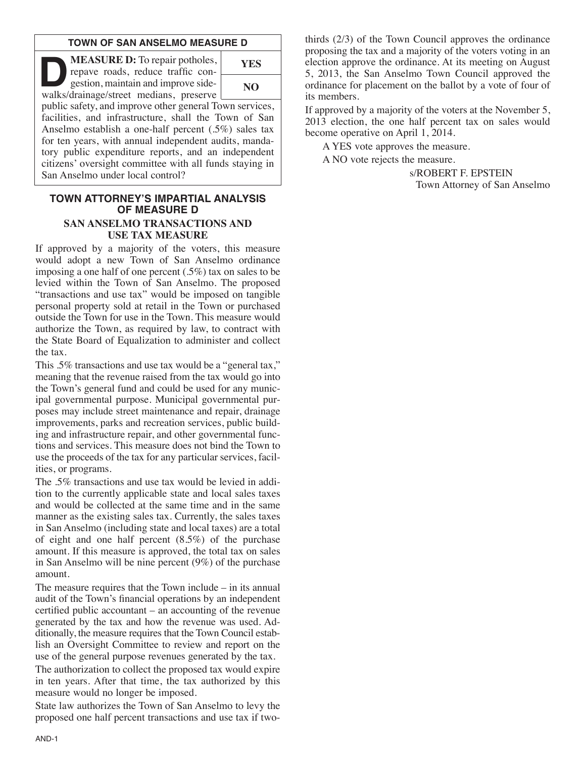### **TOWN OF SAN ANSELMO MEASURE D**

**DEASURE D:** To repair potholes,<br>
repave roads, reduce traffic con-<br>
gestion, maintain and improve side-<br>
walks/drainage/street medians, preserve repave roads, reduce traffic conwalks/drainage/street medians, preserve



public safety, and improve other general Town services, facilities, and infrastructure, shall the Town of San Anselmo establish a one-half percent (.5%) sales tax for ten years, with annual independent audits, mandatory public expenditure reports, and an independent citizens' oversight committee with all funds staying in San Anselmo under local control?

#### **TOWN ATTORNEY'S IMPARTIAL ANALYSIS OF MEASURE D SAN ANSELMO TRANSACTIONS AND USE TAX MEASURE**

If approved by a majority of the voters, this measure would adopt a new Town of San Anselmo ordinance imposing a one half of one percent (.5%) tax on sales to be levied within the Town of San Anselmo. The proposed "transactions and use tax" would be imposed on tangible personal property sold at retail in the Town or purchased outside the Town for use in the Town. This measure would authorize the Town, as required by law, to contract with the State Board of Equalization to administer and collect the tax.

This .5% transactions and use tax would be a "general tax," meaning that the revenue raised from the tax would go into the Town's general fund and could be used for any municipal governmental purpose. Municipal governmental purposes may include street maintenance and repair, drainage improvements, parks and recreation services, public building and infrastructure repair, and other governmental functions and services. This measure does not bind the Town to use the proceeds of the tax for any particular services, facilities, or programs.

The .5% transactions and use tax would be levied in addition to the currently applicable state and local sales taxes and would be collected at the same time and in the same manner as the existing sales tax. Currently, the sales taxes in San Anselmo (including state and local taxes) are a total of eight and one half percent (8.5%) of the purchase amount. If this measure is approved, the total tax on sales in San Anselmo will be nine percent (9%) of the purchase amount.

The measure requires that the Town include – in its annual audit of the Town's financial operations by an independent certified public accountant – an accounting of the revenue generated by the tax and how the revenue was used. Additionally, the measure requires that the Town Council establish an Oversight Committee to review and report on the use of the general purpose revenues generated by the tax.

The authorization to collect the proposed tax would expire in ten years. After that time, the tax authorized by this measure would no longer be imposed.

State law authorizes the Town of San Anselmo to levy the proposed one half percent transactions and use tax if twothirds (2/3) of the Town Council approves the ordinance proposing the tax and a majority of the voters voting in an election approve the ordinance. At its meeting on August 5, 2013, the San Anselmo Town Council approved the ordinance for placement on the ballot by a vote of four of its members.

If approved by a majority of the voters at the November 5, 2013 election, the one half percent tax on sales would become operative on April 1, 2014.

A YES vote approves the measure.

A NO vote rejects the measure.

s/ROBERT F. EPSTEIN Town Attorney of San Anselmo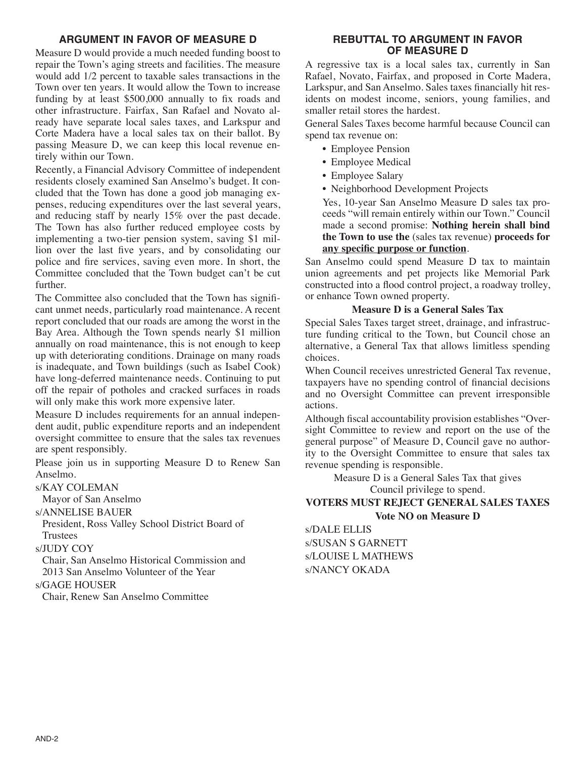# **ARGUMENT IN FAVOR OF MEASURE D**

Measure D would provide a much needed funding boost to repair the Town's aging streets and facilities. The measure would add 1/2 percent to taxable sales transactions in the Town over ten years. It would allow the Town to increase funding by at least \$500,000 annually to fix roads and other infrastructure. Fairfax, San Rafael and Novato already have separate local sales taxes, and Larkspur and Corte Madera have a local sales tax on their ballot. By passing Measure D, we can keep this local revenue entirely within our Town.

Recently, a Financial Advisory Committee of independent residents closely examined San Anselmo's budget. It concluded that the Town has done a good job managing expenses, reducing expenditures over the last several years, and reducing staff by nearly 15% over the past decade. The Town has also further reduced employee costs by implementing a two-tier pension system, saving \$1 million over the last five years, and by consolidating our police and fire services, saving even more. In short, the Committee concluded that the Town budget can't be cut further.

The Committee also concluded that the Town has significant unmet needs, particularly road maintenance. A recent report concluded that our roads are among the worst in the Bay Area. Although the Town spends nearly \$1 million annually on road maintenance, this is not enough to keep up with deteriorating conditions. Drainage on many roads is inadequate, and Town buildings (such as Isabel Cook) have long-deferred maintenance needs. Continuing to put off the repair of potholes and cracked surfaces in roads will only make this work more expensive later.

Measure D includes requirements for an annual independent audit, public expenditure reports and an independent oversight committee to ensure that the sales tax revenues are spent responsibly.

Please join us in supporting Measure D to Renew San Anselmo.

s/KAY COLEMAN

Mayor of San Anselmo

s/ANNELISE BAUER

President, Ross Valley School District Board of Trustees

s/JUDY COY

Chair, San Anselmo Historical Commission and 2013 San Anselmo Volunteer of the Year

### s/GAGE HOUSER

Chair, Renew San Anselmo Committee

### **REBUTTAL TO ARGUMENT IN FAVOR OF MEASURE D**

A regressive tax is a local sales tax, currently in San Rafael, Novato, Fairfax, and proposed in Corte Madera, Larkspur, and San Anselmo. Sales taxes financially hit residents on modest income, seniors, young families, and smaller retail stores the hardest.

General Sales Taxes become harmful because Council can spend tax revenue on:

- Employee Pension
- Employee Medical
- Employee Salary
- Neighborhood Development Projects

Yes, 10-year San Anselmo Measure D sales tax proceeds "will remain entirely within our Town." Council made a second promise: **Nothing herein shall bind the Town to use the** (sales tax revenue) **proceeds for any specific purpose or function**.

San Anselmo could spend Measure D tax to maintain union agreements and pet projects like Memorial Park constructed into a flood control project, a roadway trolley, or enhance Town owned property.

#### **Measure D is a General Sales Tax**

Special Sales Taxes target street, drainage, and infrastructure funding critical to the Town, but Council chose an alternative, a General Tax that allows limitless spending choices.

When Council receives unrestricted General Tax revenue, taxpayers have no spending control of financial decisions and no Oversight Committee can prevent irresponsible actions.

Although fiscal accountability provision establishes "Oversight Committee to review and report on the use of the general purpose" of Measure D, Council gave no authority to the Oversight Committee to ensure that sales tax revenue spending is responsible.

> Measure D is a General Sales Tax that gives Council privilege to spend.

## **VOTERS MUST REJECT GENERAL SALES TAXES Vote NO on Measure D**

s/DALE ELLIS s/SUSAN S GARNETT s/LOUISE L MATHEWS s/NANCY OKADA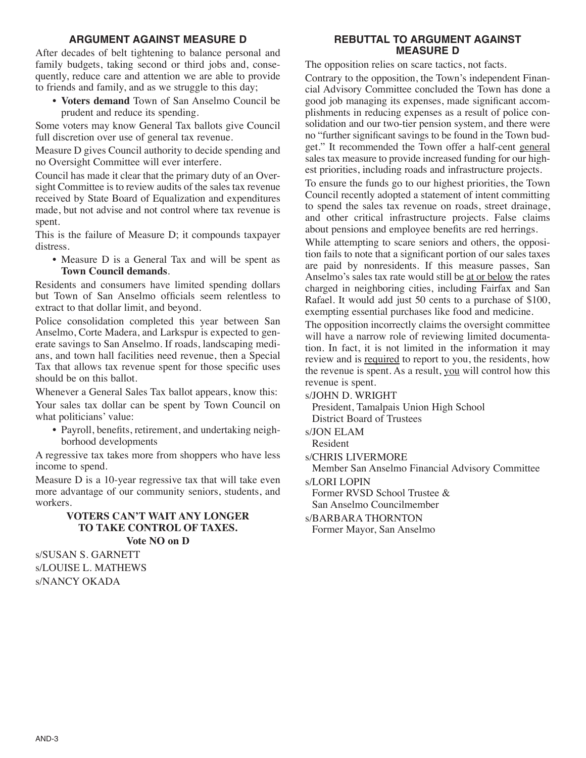## **ARGUMENT AGAINST MEASURE D**

After decades of belt tightening to balance personal and family budgets, taking second or third jobs and, consequently, reduce care and attention we are able to provide to friends and family, and as we struggle to this day;

• **Voters demand** Town of San Anselmo Council be prudent and reduce its spending.

Some voters may know General Tax ballots give Council full discretion over use of general tax revenue.

Measure D gives Council authority to decide spending and no Oversight Committee will ever interfere.

Council has made it clear that the primary duty of an Oversight Committee is to review audits of the sales tax revenue received by State Board of Equalization and expenditures made, but not advise and not control where tax revenue is spent.

This is the failure of Measure D; it compounds taxpayer distress.

• Measure D is a General Tax and will be spent as **Town Council demands**.

Residents and consumers have limited spending dollars but Town of San Anselmo officials seem relentless to extract to that dollar limit, and beyond.

Police consolidation completed this year between San Anselmo, Corte Madera, and Larkspur is expected to generate savings to San Anselmo. If roads, landscaping medians, and town hall facilities need revenue, then a Special Tax that allows tax revenue spent for those specific uses should be on this ballot.

Whenever a General Sales Tax ballot appears, know this: Your sales tax dollar can be spent by Town Council on what politicians' value:

• Payroll, benefits, retirement, and undertaking neighborhood developments

A regressive tax takes more from shoppers who have less income to spend.

Measure D is a 10-year regressive tax that will take even more advantage of our community seniors, students, and workers.

### **VOTERS CAN'T WAIT ANY LONGER TO TAKE CONTROL OF TAXES. Vote NO on D**

s/SUSAN S. GARNETT s/LOUISE L. MATHEWS s/NANCY OKADA

# **REBUTTAL TO ARGUMENT AGAINST MEASURE D**

The opposition relies on scare tactics, not facts.

Contrary to the opposition, the Town's independent Financial Advisory Committee concluded the Town has done a good job managing its expenses, made significant accomplishments in reducing expenses as a result of police consolidation and our two-tier pension system, and there were no "further significant savings to be found in the Town budget." It recommended the Town offer a half-cent general sales tax measure to provide increased funding for our highest priorities, including roads and infrastructure projects.

To ensure the funds go to our highest priorities, the Town Council recently adopted a statement of intent committing to spend the sales tax revenue on roads, street drainage, and other critical infrastructure projects. False claims about pensions and employee benefits are red herrings.

While attempting to scare seniors and others, the opposition fails to note that a significant portion of our sales taxes are paid by nonresidents. If this measure passes, San Anselmo's sales tax rate would still be at or below the rates charged in neighboring cities, including Fairfax and San Rafael. It would add just 50 cents to a purchase of \$100, exempting essential purchases like food and medicine.

The opposition incorrectly claims the oversight committee will have a narrow role of reviewing limited documentation. In fact, it is not limited in the information it may review and is required to report to you, the residents, how the revenue is spent. As a result, you will control how this revenue is spent.

s/JOHN D. WRIGHT

President, Tamalpais Union High School District Board of Trustees

s/JON ELAM

Resident

s/CHRIS LIVERMORE

Member San Anselmo Financial Advisory Committee

s/LORI LOPIN

Former RVSD School Trustee &

San Anselmo Councilmember

s/BARBARA THORNTON

Former Mayor, San Anselmo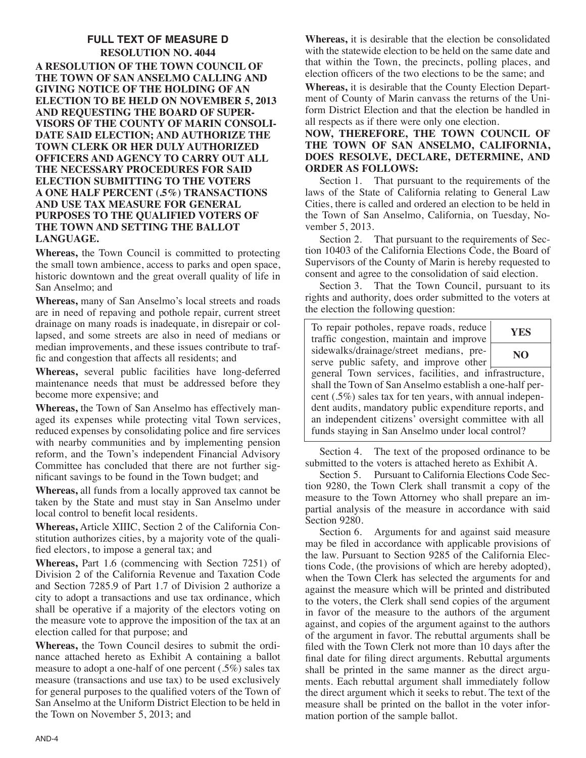**FULL TEXT OF MEASURE D RESOLUTION NO. 4044 A RESOLUTION OF THE TOWN COUNCIL OF THE TOWN OF SAN ANSELMO CALLING AND GIVING NOTICE OF THE HOLDING OF AN ELECTION TO BE HELD ON NOVEMBER 5, 2013 AND REQUESTING THE BOARD OF SUPER-VISORS OF THE COUNTY OF MARIN CONSOLI-DATE SAID ELECTION; AND AUTHORIZE THE TOWN CLERK OR HER DULY AUTHORIZED OFFICERS AND AGENCY TO CARRY OUT ALL THE NECESSARY PROCEDURES FOR SAID ELECTION SUBMITTING TO THE VOTERS A ONE HALF PERCENT (.5%) TRANSACTIONS AND USE TAX MEASURE FOR GENERAL PURPOSES TO THE QUALIFIED VOTERS OF THE TOWN AND SETTING THE BALLOT LANGUAGE.**

**Whereas,** the Town Council is committed to protecting the small town ambience, access to parks and open space, historic downtown and the great overall quality of life in San Anselmo; and

**Whereas,** many of San Anselmo's local streets and roads are in need of repaving and pothole repair, current street drainage on many roads is inadequate, in disrepair or collapsed, and some streets are also in need of medians or median improvements, and these issues contribute to traffic and congestion that affects all residents; and

**Whereas,** several public facilities have long-deferred maintenance needs that must be addressed before they become more expensive; and

**Whereas,** the Town of San Anselmo has effectively managed its expenses while protecting vital Town services, reduced expenses by consolidating police and fire services with nearby communities and by implementing pension reform, and the Town's independent Financial Advisory Committee has concluded that there are not further significant savings to be found in the Town budget; and

**Whereas,** all funds from a locally approved tax cannot be taken by the State and must stay in San Anselmo under local control to benefit local residents.

**Whereas,** Article XIIIC, Section 2 of the California Constitution authorizes cities, by a majority vote of the qualified electors, to impose a general tax; and

**Whereas,** Part 1.6 (commencing with Section 7251) of Division 2 of the California Revenue and Taxation Code and Section 7285.9 of Part 1.7 of Division 2 authorize a city to adopt a transactions and use tax ordinance, which shall be operative if a majority of the electors voting on the measure vote to approve the imposition of the tax at an election called for that purpose; and

**Whereas,** the Town Council desires to submit the ordinance attached hereto as Exhibit A containing a ballot measure to adopt a one-half of one percent  $(.5\%)$  sales tax measure (transactions and use tax) to be used exclusively for general purposes to the qualified voters of the Town of San Anselmo at the Uniform District Election to be held in the Town on November 5, 2013; and

**Whereas,** it is desirable that the election be consolidated with the statewide election to be held on the same date and that within the Town, the precincts, polling places, and election officers of the two elections to be the same; and

**Whereas,** it is desirable that the County Election Department of County of Marin canvass the returns of the Uniform District Election and that the election be handled in all respects as if there were only one election.

**NOW, THEREFORE, THE TOWN COUNCIL OF THE TOWN OF SAN ANSELMO, CALIFORNIA, DOES RESOLVE, DECLARE, DETERMINE, AND ORDER AS FOLLOWS:**

Section 1. That pursuant to the requirements of the laws of the State of California relating to General Law Cities, there is called and ordered an election to be held in the Town of San Anselmo, California, on Tuesday, November 5, 2013.

Section 2. That pursuant to the requirements of Section 10403 of the California Elections Code, the Board of Supervisors of the County of Marin is hereby requested to consent and agree to the consolidation of said election.

Section 3. That the Town Council, pursuant to its rights and authority, does order submitted to the voters at the election the following question:

| To repair potholes, repave roads, reduce<br>traffic congestion, maintain and improve                                                                                                                                                                                                                                                                     | YES |
|----------------------------------------------------------------------------------------------------------------------------------------------------------------------------------------------------------------------------------------------------------------------------------------------------------------------------------------------------------|-----|
| sidewalks/drainage/street medians, pre-<br>serve public safety, and improve other                                                                                                                                                                                                                                                                        | NO. |
| general Town services, facilities, and infrastructure,<br>shall the Town of San Anselmo establish a one-half per-<br>cent $(.5\%)$ sales tax for ten years, with annual indepen-<br>dent audits, mandatory public expenditure reports, and<br>an independent citizens' oversight committee with all<br>funds staying in San Anselmo under local control? |     |

Section 4. The text of the proposed ordinance to be submitted to the voters is attached hereto as Exhibit A.

Section 5. Pursuant to California Elections Code Section 9280, the Town Clerk shall transmit a copy of the measure to the Town Attorney who shall prepare an impartial analysis of the measure in accordance with said Section 9280.

Section 6. Arguments for and against said measure may be filed in accordance with applicable provisions of the law. Pursuant to Section 9285 of the California Elections Code, (the provisions of which are hereby adopted), when the Town Clerk has selected the arguments for and against the measure which will be printed and distributed to the voters, the Clerk shall send copies of the argument in favor of the measure to the authors of the argument against, and copies of the argument against to the authors of the argument in favor. The rebuttal arguments shall be filed with the Town Clerk not more than 10 days after the final date for filing direct arguments. Rebuttal arguments shall be printed in the same manner as the direct arguments. Each rebuttal argument shall immediately follow the direct argument which it seeks to rebut. The text of the measure shall be printed on the ballot in the voter information portion of the sample ballot.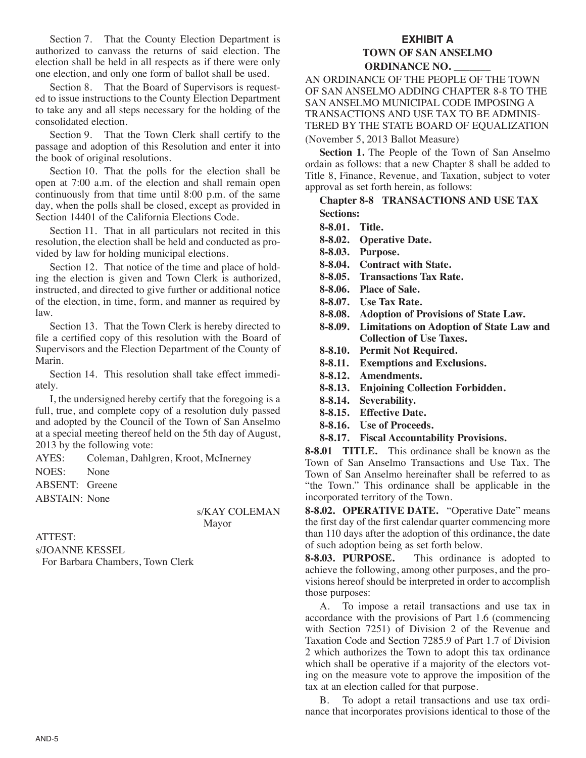Section 7. That the County Election Department is authorized to canvass the returns of said election. The election shall be held in all respects as if there were only one election, and only one form of ballot shall be used.

Section 8. That the Board of Supervisors is requested to issue instructions to the County Election Department to take any and all steps necessary for the holding of the consolidated election.

Section 9. That the Town Clerk shall certify to the passage and adoption of this Resolution and enter it into the book of original resolutions.

Section 10. That the polls for the election shall be open at 7:00 a.m. of the election and shall remain open continuously from that time until 8:00 p.m. of the same day, when the polls shall be closed, except as provided in Section 14401 of the California Elections Code.

Section 11. That in all particulars not recited in this resolution, the election shall be held and conducted as provided by law for holding municipal elections.

Section 12. That notice of the time and place of holding the election is given and Town Clerk is authorized, instructed, and directed to give further or additional notice of the election, in time, form, and manner as required by law.

Section 13. That the Town Clerk is hereby directed to file a certified copy of this resolution with the Board of Supervisors and the Election Department of the County of Marin.

Section 14. This resolution shall take effect immediately.

I, the undersigned hereby certify that the foregoing is a full, true, and complete copy of a resolution duly passed and adopted by the Council of the Town of San Anselmo at a special meeting thereof held on the 5th day of August, 2013 by the following vote:

AYES: Coleman, Dahlgren, Kroot, McInerney

NOES: None

ABSENT: Greene

ABSTAIN: None

s/KAY COLEMAN Mayor

ATTEST:

s/JOANNE KESSEL For Barbara Chambers, Town Clerk

# **EXHIBIT A TOWN OF SAN ANSELMO ORDINANCE NO. \_\_\_\_\_\_\_**

AN ORDINANCE OF THE PEOPLE OF THE TOWN OF SAN ANSELMO ADDING CHAPTER 8-8 TO THE SAN ANSELMO MUNICIPAL CODE IMPOSING A TRANSACTIONS AND USE TAX TO BE ADMINIS-TERED BY THE STATE BOARD OF EQUALIZATION

(November 5, 2013 Ballot Measure)

**Section 1.** The People of the Town of San Anselmo ordain as follows: that a new Chapter 8 shall be added to Title 8, Finance, Revenue, and Taxation, subject to voter approval as set forth herein, as follows:

**Chapter 8-8 TRANSACTIONS AND USE TAX Sections:**

**8-8.01. Title.**

- **8-8.02. Operative Date.**
- **8-8.03. Purpose.**
- **8-8.04. Contract with State.**
- **8-8.05. Transactions Tax Rate.**
- **8-8.06. Place of Sale.**
- **8-8.07. Use Tax Rate.**
- **8-8.08. Adoption of Provisions of State Law.**
- **8-8.09. Limitations on Adoption of State Law and Collection of Use Taxes.**
- **8-8.10. Permit Not Required.**
- **8-8.11. Exemptions and Exclusions.**
- **8-8.12. Amendments.**
- **8-8.13. Enjoining Collection Forbidden.**
- **8-8.14. Severability.**
- **8-8.15. Effective Date.**
- **8-8.16. Use of Proceeds.**
- **8-8.17. Fiscal Accountability Provisions.**

**8-8.01 TITLE.** This ordinance shall be known as the Town of San Anselmo Transactions and Use Tax. The Town of San Anselmo hereinafter shall be referred to as "the Town." This ordinance shall be applicable in the incorporated territory of the Town.

**8-8.02. OPERATIVE DATE.** "Operative Date" means the first day of the first calendar quarter commencing more than 110 days after the adoption of this ordinance, the date of such adoption being as set forth below.

**8-8.03. PURPOSE.** This ordinance is adopted to achieve the following, among other purposes, and the provisions hereof should be interpreted in order to accomplish those purposes:

A. To impose a retail transactions and use tax in accordance with the provisions of Part 1.6 (commencing with Section 7251) of Division 2 of the Revenue and Taxation Code and Section 7285.9 of Part 1.7 of Division 2 which authorizes the Town to adopt this tax ordinance which shall be operative if a majority of the electors voting on the measure vote to approve the imposition of the tax at an election called for that purpose.

B. To adopt a retail transactions and use tax ordinance that incorporates provisions identical to those of the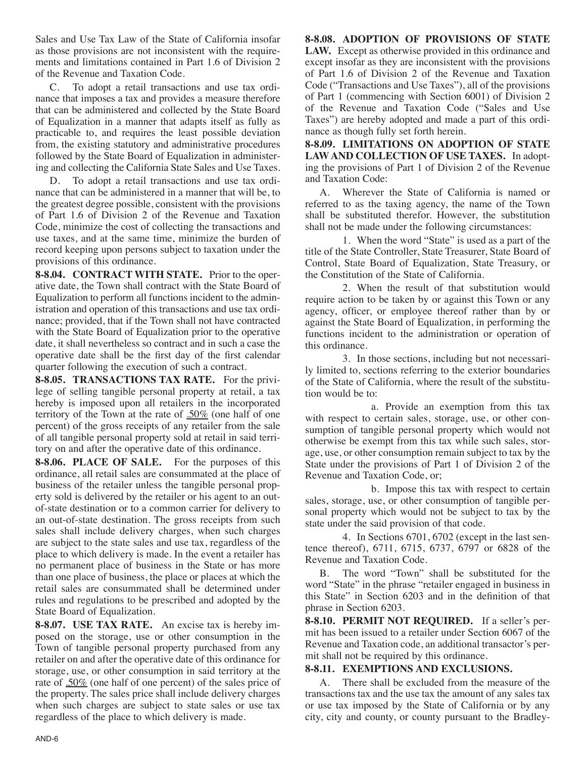Sales and Use Tax Law of the State of California insofar as those provisions are not inconsistent with the requirements and limitations contained in Part 1.6 of Division 2 of the Revenue and Taxation Code.

C. To adopt a retail transactions and use tax ordinance that imposes a tax and provides a measure therefore that can be administered and collected by the State Board of Equalization in a manner that adapts itself as fully as practicable to, and requires the least possible deviation from, the existing statutory and administrative procedures followed by the State Board of Equalization in administering and collecting the California State Sales and Use Taxes.

D. To adopt a retail transactions and use tax ordinance that can be administered in a manner that will be, to the greatest degree possible, consistent with the provisions of Part 1.6 of Division 2 of the Revenue and Taxation Code, minimize the cost of collecting the transactions and use taxes, and at the same time, minimize the burden of record keeping upon persons subject to taxation under the provisions of this ordinance.

**8-8.04. CONTRACT WITH STATE.** Prior to the operative date, the Town shall contract with the State Board of Equalization to perform all functions incident to the administration and operation of this transactions and use tax ordinance; provided, that if the Town shall not have contracted with the State Board of Equalization prior to the operative date, it shall nevertheless so contract and in such a case the operative date shall be the first day of the first calendar quarter following the execution of such a contract.

**8-8.05. TRANSACTIONS TAX RATE.** For the privilege of selling tangible personal property at retail, a tax hereby is imposed upon all retailers in the incorporated territory of the Town at the rate of  $.50\%$  (one half of one percent) of the gross receipts of any retailer from the sale of all tangible personal property sold at retail in said territory on and after the operative date of this ordinance.

**8-8.06. PLACE OF SALE.** For the purposes of this ordinance, all retail sales are consummated at the place of business of the retailer unless the tangible personal property sold is delivered by the retailer or his agent to an outof-state destination or to a common carrier for delivery to an out-of-state destination. The gross receipts from such sales shall include delivery charges, when such charges are subject to the state sales and use tax, regardless of the place to which delivery is made. In the event a retailer has no permanent place of business in the State or has more than one place of business, the place or places at which the retail sales are consummated shall be determined under rules and regulations to be prescribed and adopted by the State Board of Equalization.

**8-8.07. USE TAX RATE.** An excise tax is hereby imposed on the storage, use or other consumption in the Town of tangible personal property purchased from any retailer on and after the operative date of this ordinance for storage, use, or other consumption in said territory at the rate of .50% (one half of one percent) of the sales price of the property. The sales price shall include delivery charges when such charges are subject to state sales or use tax regardless of the place to which delivery is made.

**8-8.08. ADOPTION OF PROVISIONS OF STATE LAW.** Except as otherwise provided in this ordinance and except insofar as they are inconsistent with the provisions of Part 1.6 of Division 2 of the Revenue and Taxation Code ("Transactions and Use Taxes"), all of the provisions of Part 1 (commencing with Section 6001) of Division 2 of the Revenue and Taxation Code ("Sales and Use Taxes") are hereby adopted and made a part of this ordinance as though fully set forth herein.

**8-8.09. LIMITATIONS ON ADOPTION OF STATE LAWAND COLLECTION OF USE TAXES.** In adopting the provisions of Part 1 of Division 2 of the Revenue and Taxation Code:

A. Wherever the State of California is named or referred to as the taxing agency, the name of the Town shall be substituted therefor. However, the substitution shall not be made under the following circumstances:

1. When the word "State" is used as a part of the title of the State Controller, State Treasurer, State Board of Control, State Board of Equalization, State Treasury, or the Constitution of the State of California.

2. When the result of that substitution would require action to be taken by or against this Town or any agency, officer, or employee thereof rather than by or against the State Board of Equalization, in performing the functions incident to the administration or operation of this ordinance.

3. In those sections, including but not necessarily limited to, sections referring to the exterior boundaries of the State of California, where the result of the substitution would be to:

a. Provide an exemption from this tax with respect to certain sales, storage, use, or other consumption of tangible personal property which would not otherwise be exempt from this tax while such sales, storage, use, or other consumption remain subject to tax by the State under the provisions of Part 1 of Division 2 of the Revenue and Taxation Code, or;

b. Impose this tax with respect to certain sales, storage, use, or other consumption of tangible personal property which would not be subject to tax by the state under the said provision of that code.

4. In Sections 6701, 6702 (except in the last sentence thereof), 6711, 6715, 6737, 6797 or 6828 of the Revenue and Taxation Code.

B. The word "Town" shall be substituted for the word "State" in the phrase "retailer engaged in business in this State" in Section 6203 and in the definition of that phrase in Section 6203.

**8-8.10. PERMIT NOT REQUIRED.** If a seller's permit has been issued to a retailer under Section 6067 of the Revenue and Taxation code, an additional transactor's permit shall not be required by this ordinance.

### **8-8.11. EXEMPTIONS AND EXCLUSIONS.**

A. There shall be excluded from the measure of the transactions tax and the use tax the amount of any sales tax or use tax imposed by the State of California or by any city, city and county, or county pursuant to the Bradley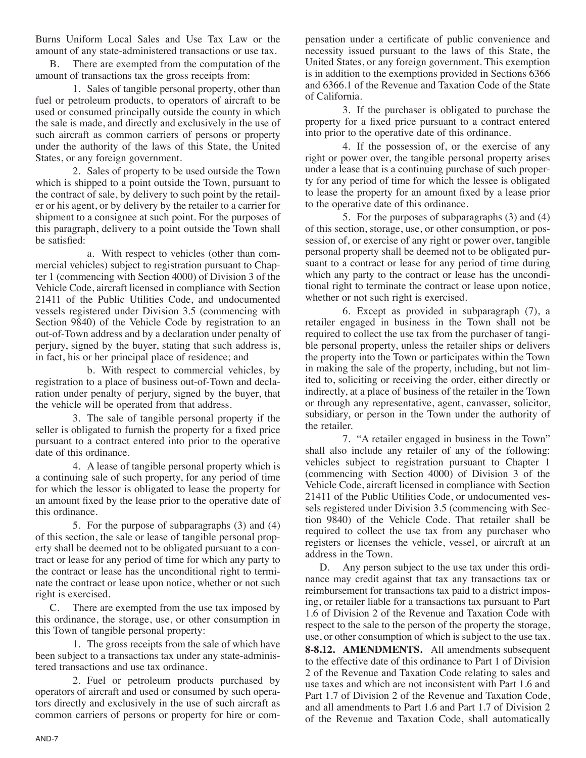Burns Uniform Local Sales and Use Tax Law or the amount of any state-administered transactions or use tax.

B. There are exempted from the computation of the amount of transactions tax the gross receipts from:

1. Sales of tangible personal property, other than fuel or petroleum products, to operators of aircraft to be used or consumed principally outside the county in which the sale is made, and directly and exclusively in the use of such aircraft as common carriers of persons or property under the authority of the laws of this State, the United States, or any foreign government.

2. Sales of property to be used outside the Town which is shipped to a point outside the Town, pursuant to the contract of sale, by delivery to such point by the retailer or his agent, or by delivery by the retailer to a carrier for shipment to a consignee at such point. For the purposes of this paragraph, delivery to a point outside the Town shall be satisfied:

a. With respect to vehicles (other than commercial vehicles) subject to registration pursuant to Chapter 1 (commencing with Section 4000) of Division 3 of the Vehicle Code, aircraft licensed in compliance with Section 21411 of the Public Utilities Code, and undocumented vessels registered under Division 3.5 (commencing with Section 9840) of the Vehicle Code by registration to an out-of-Town address and by a declaration under penalty of perjury, signed by the buyer, stating that such address is, in fact, his or her principal place of residence; and

b. With respect to commercial vehicles, by registration to a place of business out-of-Town and declaration under penalty of perjury, signed by the buyer, that the vehicle will be operated from that address.

3. The sale of tangible personal property if the seller is obligated to furnish the property for a fixed price pursuant to a contract entered into prior to the operative date of this ordinance.

4. A lease of tangible personal property which is a continuing sale of such property, for any period of time for which the lessor is obligated to lease the property for an amount fixed by the lease prior to the operative date of this ordinance.

5. For the purpose of subparagraphs (3) and (4) of this section, the sale or lease of tangible personal property shall be deemed not to be obligated pursuant to a contract or lease for any period of time for which any party to the contract or lease has the unconditional right to terminate the contract or lease upon notice, whether or not such right is exercised.

C. There are exempted from the use tax imposed by this ordinance, the storage, use, or other consumption in this Town of tangible personal property:

1. The gross receipts from the sale of which have been subject to a transactions tax under any state-administered transactions and use tax ordinance.

2. Fuel or petroleum products purchased by operators of aircraft and used or consumed by such operators directly and exclusively in the use of such aircraft as common carriers of persons or property for hire or compensation under a certificate of public convenience and necessity issued pursuant to the laws of this State, the United States, or any foreign government. This exemption is in addition to the exemptions provided in Sections 6366 and 6366.1 of the Revenue and Taxation Code of the State of California.

3. If the purchaser is obligated to purchase the property for a fixed price pursuant to a contract entered into prior to the operative date of this ordinance.

4. If the possession of, or the exercise of any right or power over, the tangible personal property arises under a lease that is a continuing purchase of such property for any period of time for which the lessee is obligated to lease the property for an amount fixed by a lease prior to the operative date of this ordinance.

5. For the purposes of subparagraphs (3) and (4) of this section, storage, use, or other consumption, or possession of, or exercise of any right or power over, tangible personal property shall be deemed not to be obligated pursuant to a contract or lease for any period of time during which any party to the contract or lease has the unconditional right to terminate the contract or lease upon notice, whether or not such right is exercised.

6. Except as provided in subparagraph (7), a retailer engaged in business in the Town shall not be required to collect the use tax from the purchaser of tangible personal property, unless the retailer ships or delivers the property into the Town or participates within the Town in making the sale of the property, including, but not limited to, soliciting or receiving the order, either directly or indirectly, at a place of business of the retailer in the Town or through any representative, agent, canvasser, solicitor, subsidiary, or person in the Town under the authority of the retailer.

7. "A retailer engaged in business in the Town" shall also include any retailer of any of the following: vehicles subject to registration pursuant to Chapter 1 (commencing with Section 4000) of Division 3 of the Vehicle Code, aircraft licensed in compliance with Section 21411 of the Public Utilities Code, or undocumented vessels registered under Division 3.5 (commencing with Section 9840) of the Vehicle Code. That retailer shall be required to collect the use tax from any purchaser who registers or licenses the vehicle, vessel, or aircraft at an address in the Town.

D. Any person subject to the use tax under this ordinance may credit against that tax any transactions tax or reimbursement for transactions tax paid to a district imposing, or retailer liable for a transactions tax pursuant to Part 1.6 of Division 2 of the Revenue and Taxation Code with respect to the sale to the person of the property the storage, use, or other consumption of which is subject to the use tax.

**8-8.12. AMENDMENTS.** All amendments subsequent to the effective date of this ordinance to Part 1 of Division 2 of the Revenue and Taxation Code relating to sales and use taxes and which are not inconsistent with Part 1.6 and Part 1.7 of Division 2 of the Revenue and Taxation Code, and all amendments to Part 1.6 and Part 1.7 of Division 2 of the Revenue and Taxation Code, shall automatically